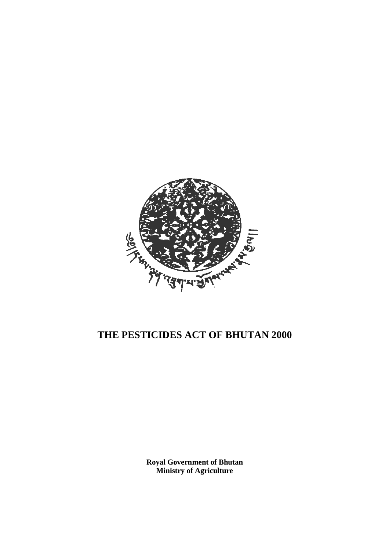

# **THE PESTICIDES ACT OF BHUTAN 2000**

**Royal Government of Bhutan Ministry of Agriculture**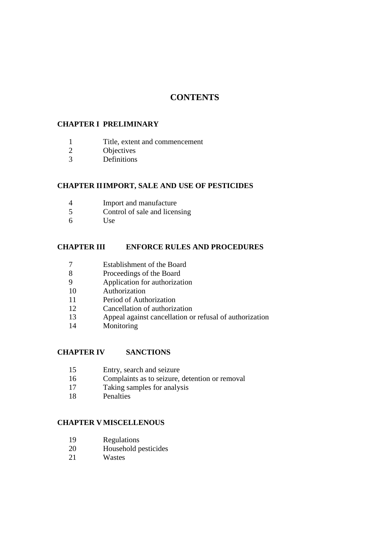## **CONTENTS**

#### **CHAPTER I PRELIMINARY**

- 1 Title, extent and commencement<br>2 Objectives
- **Objectives**
- Definitions

#### **CHAPTER II IMPORT, SALE AND USE OF PESTICIDES**

- Import and manufacture
- Control of sale and licensing
- Use

#### **CHAPTER III ENFORCE RULES AND PROCEDURES**

- Establishment of the Board
- Proceedings of the Board
- Application for authorization
- Authorization
- Period of Authorization
- Cancellation of authorization
- Appeal against cancellation or refusal of authorization
- Monitoring

#### **CHAPTER IV SANCTIONS**

- Entry, search and seizure
- Complaints as to seizure, detention or removal
- Taking samples for analysis
- Penalties

#### **CHAPTER V MISCELLENOUS**

- 19 Regulations<br>20 Household n
- Household pesticides
- Wastes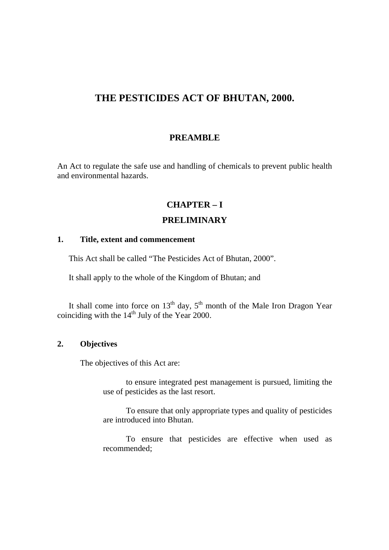# **THE PESTICIDES ACT OF BHUTAN, 2000.**

## **PREAMBLE**

An Act to regulate the safe use and handling of chemicals to prevent public health and environmental hazards.

## **CHAPTER – I**

## **PRELIMINARY**

#### **1. Title, extent and commencement**

This Act shall be called "The Pesticides Act of Bhutan, 2000".

It shall apply to the whole of the Kingdom of Bhutan; and

It shall come into force on  $13<sup>th</sup>$  day,  $5<sup>th</sup>$  month of the Male Iron Dragon Year coinciding with the  $14<sup>th</sup>$  July of the Year 2000.

#### **2. Objectives**

The objectives of this Act are:

to ensure integrated pest management is pursued, limiting the use of pesticides as the last resort.

To ensure that only appropriate types and quality of pesticides are introduced into Bhutan.

To ensure that pesticides are effective when used as recommended;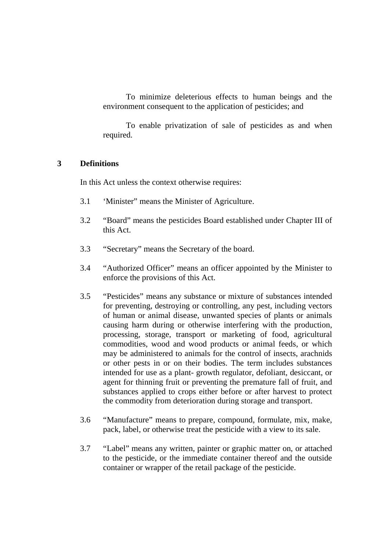To minimize deleterious effects to human beings and the environment consequent to the application of pesticides; and

To enable privatization of sale of pesticides as and when required.

#### **3 Definitions**

In this Act unless the context otherwise requires:

- 3.1 'Minister" means the Minister of Agriculture.
- 3.2 "Board" means the pesticides Board established under Chapter III of this Act.
- 3.3 "Secretary" means the Secretary of the board.
- 3.4 "Authorized Officer" means an officer appointed by the Minister to enforce the provisions of this Act.
- 3.5 "Pesticides" means any substance or mixture of substances intended for preventing, destroying or controlling, any pest, including vectors of human or animal disease, unwanted species of plants or animals causing harm during or otherwise interfering with the production, processing, storage, transport or marketing of food, agricultural commodities, wood and wood products or animal feeds, or which may be administered to animals for the control of insects, arachnids or other pests in or on their bodies. The term includes substances intended for use as a plant- growth regulator, defoliant, desiccant, or agent for thinning fruit or preventing the premature fall of fruit, and substances applied to crops either before or after harvest to protect the commodity from deterioration during storage and transport.
- 3.6 "Manufacture" means to prepare, compound, formulate, mix, make, pack, label, or otherwise treat the pesticide with a view to its sale.
- 3.7 "Label" means any written, painter or graphic matter on, or attached to the pesticide, or the immediate container thereof and the outside container or wrapper of the retail package of the pesticide.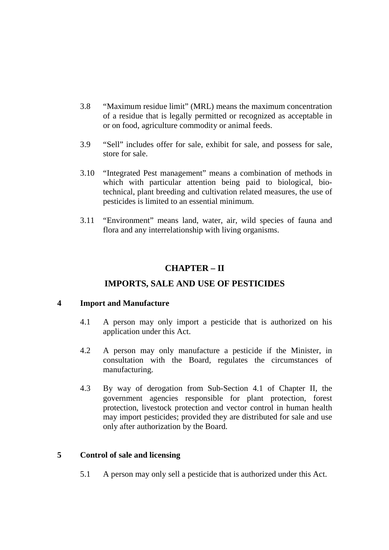- 3.8 "Maximum residue limit" (MRL) means the maximum concentration of a residue that is legally permitted or recognized as acceptable in or on food, agriculture commodity or animal feeds.
- 3.9 "Sell" includes offer for sale, exhibit for sale, and possess for sale, store for sale.
- 3.10 "Integrated Pest management" means a combination of methods in which with particular attention being paid to biological, biotechnical, plant breeding and cultivation related measures, the use of pesticides is limited to an essential minimum.
- 3.11 "Environment" means land, water, air, wild species of fauna and flora and any interrelationship with living organisms.

## **CHAPTER – II**

## **IMPORTS, SALE AND USE OF PESTICIDES**

#### **4 Import and Manufacture**

- 4.1 A person may only import a pesticide that is authorized on his application under this Act.
- 4.2 A person may only manufacture a pesticide if the Minister, in consultation with the Board, regulates the circumstances of manufacturing.
- 4.3 By way of derogation from Sub-Section 4.1 of Chapter II, the government agencies responsible for plant protection, forest protection, livestock protection and vector control in human health may import pesticides; provided they are distributed for sale and use only after authorization by the Board.

## **5 Control of sale and licensing**

5.1 A person may only sell a pesticide that is authorized under this Act.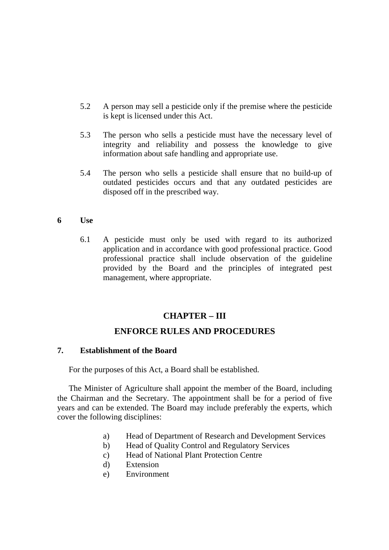- 5.2 A person may sell a pesticide only if the premise where the pesticide is kept is licensed under this Act.
- 5.3 The person who sells a pesticide must have the necessary level of integrity and reliability and possess the knowledge to give information about safe handling and appropriate use.
- 5.4 The person who sells a pesticide shall ensure that no build-up of outdated pesticides occurs and that any outdated pesticides are disposed off in the prescribed way.
- **6 Use** 
	- 6.1 A pesticide must only be used with regard to its authorized application and in accordance with good professional practice. Good professional practice shall include observation of the guideline provided by the Board and the principles of integrated pest management, where appropriate.

#### **CHAPTER – III**

#### **ENFORCE RULES AND PROCEDURES**

#### **7. Establishment of the Board**

For the purposes of this Act, a Board shall be established.

The Minister of Agriculture shall appoint the member of the Board, including the Chairman and the Secretary. The appointment shall be for a period of five years and can be extended. The Board may include preferably the experts, which cover the following disciplines:

- a) Head of Department of Research and Development Services
- b) Head of Quality Control and Regulatory Services
- c) Head of National Plant Protection Centre
- d) Extension
- e) Environment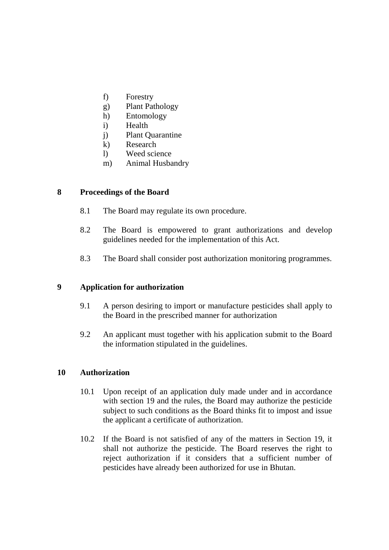- f) Forestry
- g) Plant Pathology
- h) Entomology
- i) Health
- j) Plant Quarantine
- k) Research
- l) Weed science
- m) Animal Husbandry

#### **8 Proceedings of the Board**

- 8.1 The Board may regulate its own procedure.
- 8.2 The Board is empowered to grant authorizations and develop guidelines needed for the implementation of this Act.
- 8.3 The Board shall consider post authorization monitoring programmes.

#### **9 Application for authorization**

- 9.1 A person desiring to import or manufacture pesticides shall apply to the Board in the prescribed manner for authorization
- 9.2 An applicant must together with his application submit to the Board the information stipulated in the guidelines.

#### **10 Authorization**

- 10.1 Upon receipt of an application duly made under and in accordance with section 19 and the rules, the Board may authorize the pesticide subject to such conditions as the Board thinks fit to impost and issue the applicant a certificate of authorization.
- 10.2 If the Board is not satisfied of any of the matters in Section 19, it shall not authorize the pesticide. The Board reserves the right to reject authorization if it considers that a sufficient number of pesticides have already been authorized for use in Bhutan.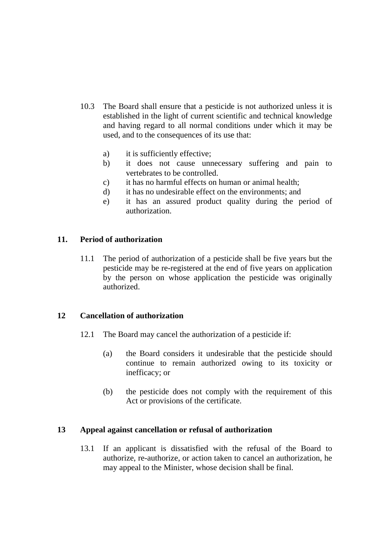- 10.3 The Board shall ensure that a pesticide is not authorized unless it is established in the light of current scientific and technical knowledge and having regard to all normal conditions under which it may be used, and to the consequences of its use that:
	- a) it is sufficiently effective;
	- b) it does not cause unnecessary suffering and pain to vertebrates to be controlled.
	- c) it has no harmful effects on human or animal health;
	- d) it has no undesirable effect on the environments; and
	- e) it has an assured product quality during the period of authorization.

#### **11. Period of authorization**

11.1 The period of authorization of a pesticide shall be five years but the pesticide may be re-registered at the end of five years on application by the person on whose application the pesticide was originally authorized.

## **12 Cancellation of authorization**

- 12.1 The Board may cancel the authorization of a pesticide if:
	- (a) the Board considers it undesirable that the pesticide should continue to remain authorized owing to its toxicity or inefficacy; or
	- (b) the pesticide does not comply with the requirement of this Act or provisions of the certificate.

#### **13 Appeal against cancellation or refusal of authorization**

13.1 If an applicant is dissatisfied with the refusal of the Board to authorize, re-authorize, or action taken to cancel an authorization, he may appeal to the Minister, whose decision shall be final.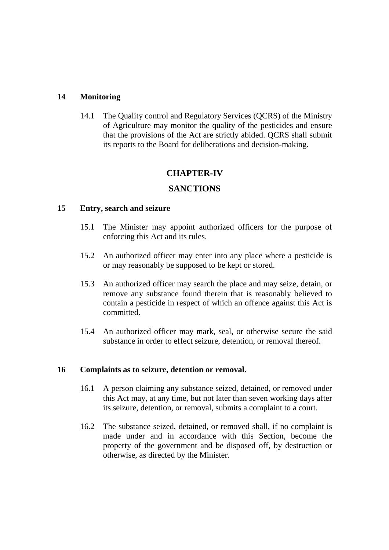#### **14 Monitoring**

14.1 The Quality control and Regulatory Services (QCRS) of the Ministry of Agriculture may monitor the quality of the pesticides and ensure that the provisions of the Act are strictly abided. QCRS shall submit its reports to the Board for deliberations and decision-making.

## **CHAPTER-IV**

## **SANCTIONS**

#### **15 Entry, search and seizure**

- 15.1 The Minister may appoint authorized officers for the purpose of enforcing this Act and its rules.
- 15.2 An authorized officer may enter into any place where a pesticide is or may reasonably be supposed to be kept or stored.
- 15.3 An authorized officer may search the place and may seize, detain, or remove any substance found therein that is reasonably believed to contain a pesticide in respect of which an offence against this Act is committed.
- 15.4 An authorized officer may mark, seal, or otherwise secure the said substance in order to effect seizure, detention, or removal thereof.

#### **16 Complaints as to seizure, detention or removal.**

- 16.1 A person claiming any substance seized, detained, or removed under this Act may, at any time, but not later than seven working days after its seizure, detention, or removal, submits a complaint to a court.
- 16.2 The substance seized, detained, or removed shall, if no complaint is made under and in accordance with this Section, become the property of the government and be disposed off, by destruction or otherwise, as directed by the Minister.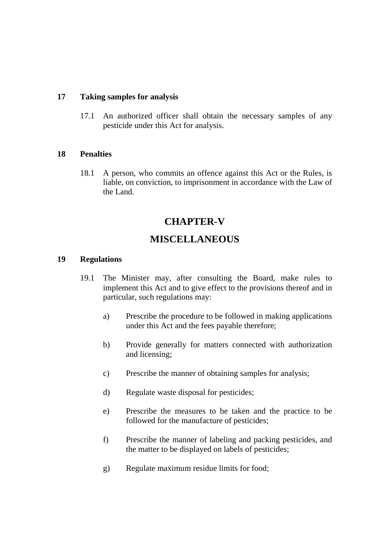#### **17 Taking samples for analysis**

17.1 An authorized officer shall obtain the necessary samples of any pesticide under this Act for analysis.

#### **18 Penalties**

18.1 A person, who commits an offence against this Act or the Rules, is liable, on conviction, to imprisonment in accordance with the Law of the Land.

# **CHAPTER-V**

## **MISCELLANEOUS**

#### **19 Regulations**

- 19.1 The Minister may, after consulting the Board, make rules to implement this Act and to give effect to the provisions thereof and in particular, such regulations may:
	- a) Prescribe the procedure to be followed in making applications under this Act and the fees payable therefore;
	- b) Provide generally for matters connected with authorization and licensing;
	- c) Prescribe the manner of obtaining samples for analysis;
	- d) Regulate waste disposal for pesticides;
	- e) Prescribe the measures to be taken and the practice to be followed for the manufacture of pesticides;
	- f) Prescribe the manner of labeling and packing pesticides, and the matter to be displayed on labels of pesticides;
	- g) Regulate maximum residue limits for food;